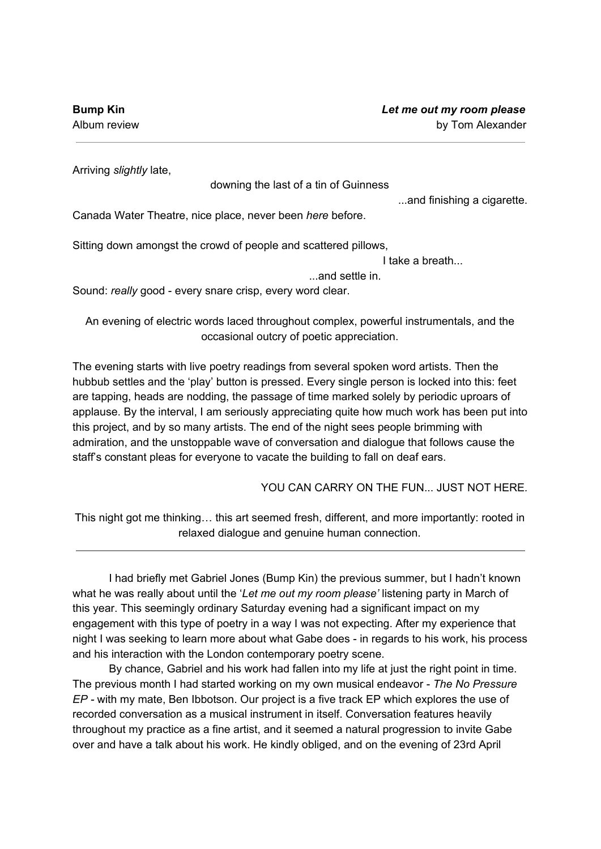Arriving *slightly* late,

downing the last of a tin of Guinness

...and finishing a cigarette.

Canada Water Theatre, nice place, never been *here* before.

Sitting down amongst the crowd of people and scattered pillows,

I take a breath...

...and settle in.

Sound: *really* good - every snare crisp, every word clear.

An evening of electric words laced throughout complex, powerful instrumentals, and the occasional outcry of poetic appreciation.

The evening starts with live poetry readings from several spoken word artists. Then the hubbub settles and the 'play' button is pressed. Every single person is locked into this: feet are tapping, heads are nodding, the passage of time marked solely by periodic uproars of applause. By the interval, I am seriously appreciating quite how much work has been put into this project, and by so many artists. The end of the night sees people brimming with admiration, and the unstoppable wave of conversation and dialogue that follows cause the staff's constant pleas for everyone to vacate the building to fall on deaf ears.

YOU CAN CARRY ON THE FUN... JUST NOT HERE*.*

This night got me thinking… this art seemed fresh, different, and more importantly: rooted in relaxed dialogue and genuine human connection.

I had briefly met Gabriel Jones (Bump Kin) the previous summer, but I hadn't known what he was really about until the '*Let me out my room please'* listening party in March of this year. This seemingly ordinary Saturday evening had a significant impact on my engagement with this type of poetry in a way I was not expecting. After my experience that night I was seeking to learn more about what Gabe does - in regards to his work, his process and his interaction with the London contemporary poetry scene.

By chance, Gabriel and his work had fallen into my life at just the right point in time. The previous month I had started working on my own musical endeavor - *The No Pressure EP -* with my mate, Ben Ibbotson. Our project is a five track EP which explores the use of recorded conversation as a musical instrument in itself. Conversation features heavily throughout my practice as a fine artist, and it seemed a natural progression to invite Gabe over and have a talk about his work. He kindly obliged, and on the evening of 23rd April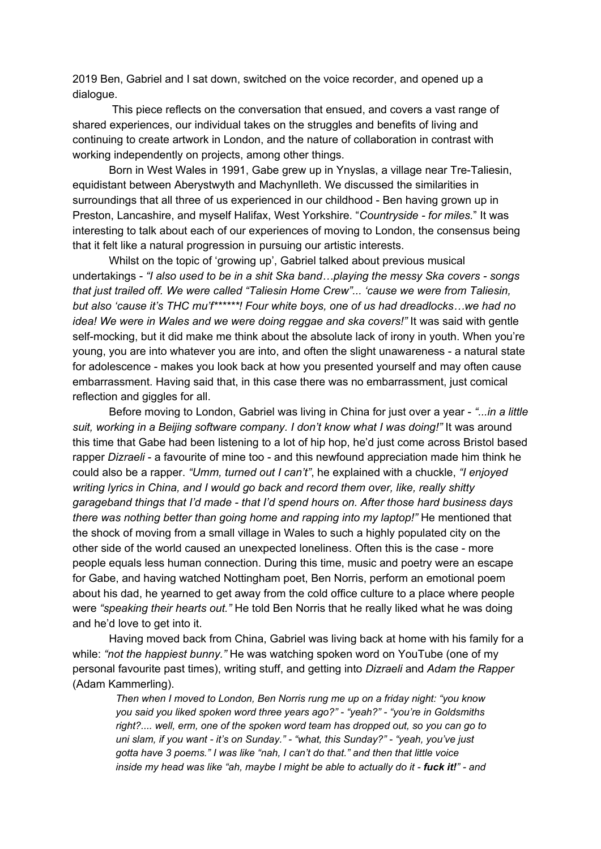2019 Ben, Gabriel and I sat down, switched on the voice recorder, and opened up a dialogue.

This piece reflects on the conversation that ensued, and covers a vast range of shared experiences, our individual takes on the struggles and benefits of living and continuing to create artwork in London, and the nature of collaboration in contrast with working independently on projects, among other things.

Born in West Wales in 1991, Gabe grew up in Ynyslas, a village near Tre-Taliesin, equidistant between Aberystwyth and Machynlleth. We discussed the similarities in surroundings that all three of us experienced in our childhood - Ben having grown up in Preston, Lancashire, and myself Halifax, West Yorkshire. "*Countryside - for miles.*" It was interesting to talk about each of our experiences of moving to London, the consensus being that it felt like a natural progression in pursuing our artistic interests.

Whilst on the topic of 'growing up', Gabriel talked about previous musical undertakings - *"I also used to be in a shit Ska band…playing the messy Ska covers - songs that just trailed off. We were called "Taliesin Home Crew"... 'cause we were from Taliesin, but also 'cause it's THC mu'f\*\*\*\*\*\*! Four white boys, one of us had dreadlocks…we had no idea! We were in Wales and we were doing reggae and ska covers!"* It was said with gentle self-mocking, but it did make me think about the absolute lack of irony in youth. When you're young, you are into whatever you are into, and often the slight unawareness - a natural state for adolescence - makes you look back at how you presented yourself and may often cause embarrassment. Having said that, in this case there was no embarrassment, just comical reflection and giggles for all.

Before moving to London, Gabriel was living in China for just over a year - *"...in a little suit, working in a Beijing software company. I don't know what I was doing!"* It was around this time that Gabe had been listening to a lot of hip hop, he'd just come across Bristol based rapper *Dizraeli* - a favourite of mine too - and this newfound appreciation made him think he could also be a rapper. *"Umm, turned out I can't"*, he explained with a chuckle, *"I enjoyed writing lyrics in China, and I would go back and record them over, like, really shitty garageband things that I'd made - that I'd spend hours on. After those hard business days there was nothing better than going home and rapping into my laptop!"* He mentioned that the shock of moving from a small village in Wales to such a highly populated city on the other side of the world caused an unexpected loneliness. Often this is the case - more people equals less human connection. During this time, music and poetry were an escape for Gabe, and having watched Nottingham poet, Ben Norris, perform an emotional poem about his dad, he yearned to get away from the cold office culture to a place where people were *"speaking their hearts out."* He told Ben Norris that he really liked what he was doing and he'd love to get into it.

Having moved back from China, Gabriel was living back at home with his family for a while: *"not the happiest bunny."* He was watching spoken word on YouTube (one of my personal favourite past times), writing stuff, and getting into *Dizraeli* and *Adam the Rapper* (Adam Kammerling).

*Then when I moved to London, Ben Norris rung me up on a friday night: "you know you said you liked spoken word three years ago?" - "yeah?" - "you're in Goldsmiths right?.... well, erm, one of the spoken word team has dropped out, so you can go to uni slam, if you want - it's on Sunday." - "what, this Sunday?" - "yeah, you've just gotta have 3 poems." I was like "nah, I can't do that." and then that little voice* inside my head was like "ah, maybe I might be able to actually do it - fuck it!" - and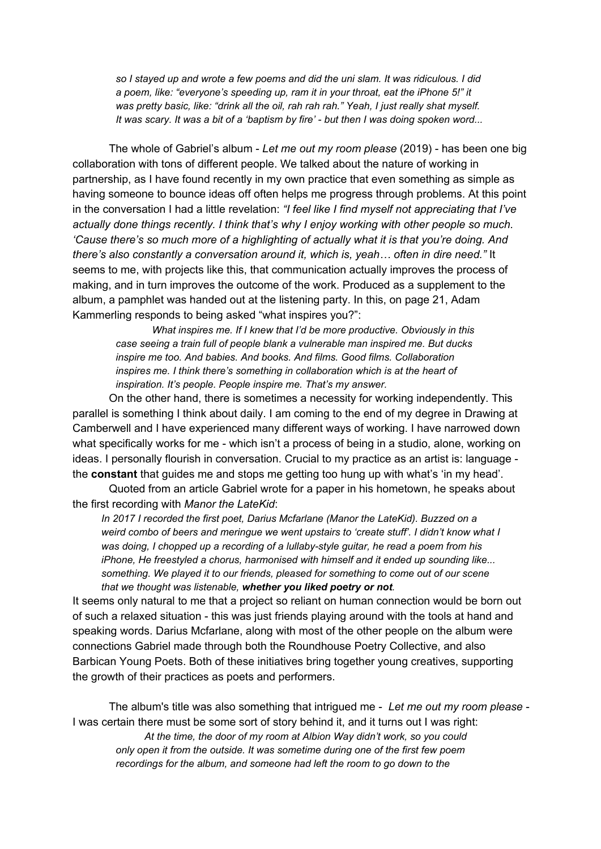*so I stayed up and wrote a few poems and did the uni slam. It was ridiculous. I did a poem, like: "everyone's speeding up, ram it in your throat, eat the iPhone 5!" it was pretty basic, like: "drink all the oil, rah rah rah." Yeah, I just really shat myself.* It was scary. It was a bit of a 'baptism by fire' - but then I was doing spoken word...

The whole of Gabriel's album - *Let me out my room please* (2019) - has been one big collaboration with tons of different people. We talked about the nature of working in partnership, as I have found recently in my own practice that even something as simple as having someone to bounce ideas off often helps me progress through problems. At this point in the conversation I had a little revelation: *"I feel like I find myself not appreciating that I've actually done things recently. I think that's why I enjoy working with other people so much. 'Cause there's so much more of a highlighting of actually what it is that you're doing. And there's also constantly a conversation around it, which is, yeah… often in dire need."* It seems to me, with projects like this, that communication actually improves the process of making, and in turn improves the outcome of the work. Produced as a supplement to the album, a pamphlet was handed out at the listening party. In this, on page 21, Adam Kammerling responds to being asked "what inspires you?":

*What inspires me. If I knew that I'd be more productive. Obviously in this case seeing a train full of people blank a vulnerable man inspired me. But ducks inspire me too. And babies. And books. And films. Good films. Collaboration inspires me. I think there's something in collaboration which is at the heart of inspiration. It's people. People inspire me. That's my answer.*

On the other hand, there is sometimes a necessity for working independently. This parallel is something I think about daily. I am coming to the end of my degree in Drawing at Camberwell and I have experienced many different ways of working. I have narrowed down what specifically works for me - which isn't a process of being in a studio, alone, working on ideas. I personally flourish in conversation. Crucial to my practice as an artist is: language the **constant** that guides me and stops me getting too hung up with what's 'in my head'.

Quoted from an article Gabriel wrote for a paper in his hometown, he speaks about the first recording with *Manor the LateKid*:

*In 2017 I recorded the first poet, Darius Mcfarlane (Manor the LateKid). Buzzed on a weird combo of beers and meringue we went upstairs to 'create stuff'. I didn't know what I was doing, I chopped up a recording of a lullaby-style guitar, he read a poem from his iPhone, He freestyled a chorus, harmonised with himself and it ended up sounding like... something. We played it to our friends, pleased for something to come out of our scene that we thought was listenable, whether you liked poetry or not.*

It seems only natural to me that a project so reliant on human connection would be born out of such a relaxed situation - this was just friends playing around with the tools at hand and speaking words. Darius Mcfarlane, along with most of the other people on the album were connections Gabriel made through both the Roundhouse Poetry Collective, and also Barbican Young Poets. Both of these initiatives bring together young creatives, supporting the growth of their practices as poets and performers.

The album's title was also something that intrigued me - *Let me out my room please* - I was certain there must be some sort of story behind it, and it turns out I was right: *At the time, the door of my room at Albion Way didn't work, so you could only open it from the outside. It was sometime during one of the first few poem recordings for the album, and someone had left the room to go down to the*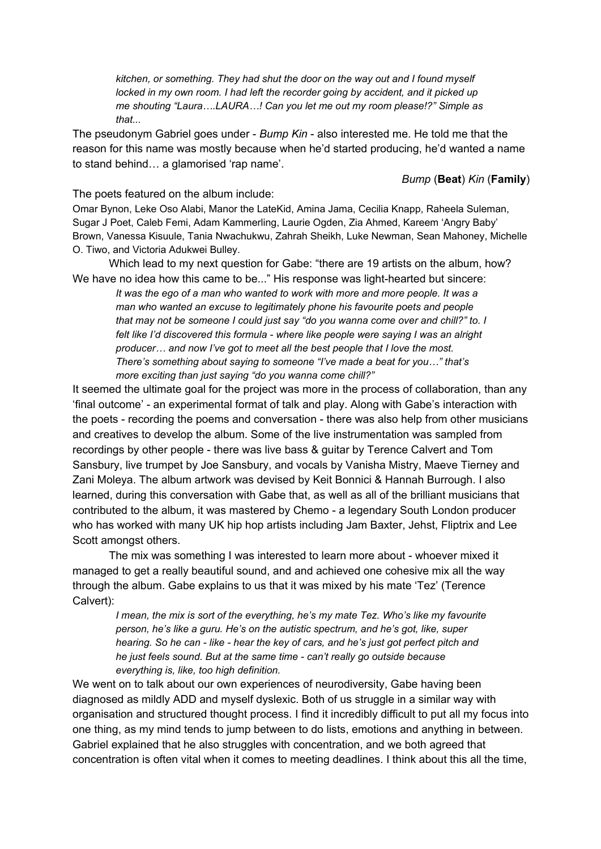*kitchen, or something. They had shut the door on the way out and I found myself locked in my own room. I had left the recorder going by accident, and it picked up me shouting "Laura….LAURA…! Can you let me out my room please!?" Simple as that...*

The pseudonym Gabriel goes under - *Bump Kin* - also interested me. He told me that the reason for this name was mostly because when he'd started producing, he'd wanted a name to stand behind… a glamorised 'rap name'.

*Bump* (**Beat**) *Kin* (**Family**)

The poets featured on the album include:

Omar Bynon, Leke Oso Alabi, Manor the LateKid, Amina Jama, Cecilia Knapp, Raheela Suleman, Sugar J Poet, Caleb Femi, Adam Kammerling, Laurie Ogden, Zia Ahmed, Kareem 'Angry Baby' Brown, Vanessa Kisuule, Tania Nwachukwu, Zahrah Sheikh, Luke Newman, Sean Mahoney, Michelle O. Tiwo, and Victoria Adukwei Bulley.

Which lead to my next question for Gabe: "there are 19 artists on the album, how? We have no idea how this came to be..." His response was light-hearted but sincere:

*It was the ego of a man who wanted to work with more and more people. It was a man who wanted an excuse to legitimately phone his favourite poets and people that may not be someone I could just say "do you wanna come over and chill?" to. I felt like I'd discovered this formula - where like people were saying I was an alright producer… and now I've got to meet all the best people that I love the most. There's something about saying to someone "I've made a beat for you…" that's more exciting than just saying "do you wanna come chill?"*

It seemed the ultimate goal for the project was more in the process of collaboration, than any 'final outcome' - an experimental format of talk and play. Along with Gabe's interaction with the poets - recording the poems and conversation - there was also help from other musicians and creatives to develop the album. Some of the live instrumentation was sampled from recordings by other people - there was live bass & guitar by Terence Calvert and Tom Sansbury, live trumpet by Joe Sansbury, and vocals by Vanisha Mistry, Maeve Tierney and Zani Moleya. The album artwork was devised by Keit Bonnici & Hannah Burrough. I also learned, during this conversation with Gabe that, as well as all of the brilliant musicians that contributed to the album, it was mastered by Chemo - a legendary South London producer who has worked with many UK hip hop artists including Jam Baxter, Jehst, Fliptrix and Lee Scott amongst others.

The mix was something I was interested to learn more about - whoever mixed it managed to get a really beautiful sound, and and achieved one cohesive mix all the way through the album. Gabe explains to us that it was mixed by his mate 'Tez' (Terence Calvert):

*I mean, the mix is sort of the everything, he's my mate Tez. Who's like my favourite person, he's like a guru. He's on the autistic spectrum, and he's got, like, super hearing. So he can - like - hear the key of cars, and he's just got perfect pitch and he just feels sound. But at the same time - can't really go outside because everything is, like, too high definition.*

We went on to talk about our own experiences of neurodiversity, Gabe having been diagnosed as mildly ADD and myself dyslexic. Both of us struggle in a similar way with organisation and structured thought process. I find it incredibly difficult to put all my focus into one thing, as my mind tends to jump between to do lists, emotions and anything in between. Gabriel explained that he also struggles with concentration, and we both agreed that concentration is often vital when it comes to meeting deadlines. I think about this all the time,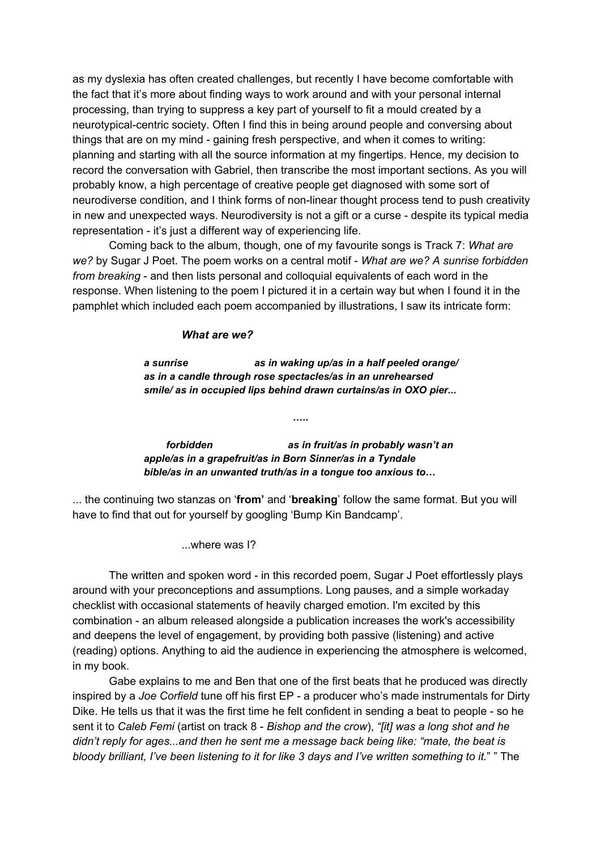as my dyslexia has often created challenges, but recently I have become comfortable with the fact that it's more about finding ways to work around and with your personal internal processing, than trying to suppress a key part of yourself to fit a mould created by a neurotypical-centric society. Often I find this in being around people and conversing about things that are on my mind - gaining fresh perspective, and when it comes to writing: planning and starting with all the source information at my fingertips. Hence, my decision to record the conversation with Gabriel, then transcribe the most important sections. As you will probably know, a high percentage of creative people get diagnosed with some sort of neurodiverse condition, and I think forms of non-linear thought process tend to push creativity in new and unexpected ways. Neurodiversity is not a gift or a curse - despite its typical media representation - it's just a different way of experiencing life.

Coming back to the album, though, one of my favourite songs is Track 7: *What are we?* by Sugar J Poet. The poem works on a central motif - *What are we? A sunrise forbidden from breaking* - and then lists personal and colloquial equivalents of each word in the response. When listening to the poem I pictured it in a certain way but when I found it in the pamphlet which included each poem accompanied by illustrations, I saw its intricate form:

## *What are we?*

*a sunrise as in waking up/as in a half peeled orange/ as in a candle through rose spectacles/as in an unrehearsed smile/ as in occupied lips behind drawn curtains/as in OXO pier...*

*…..*

*forbidden as in fruit/as in probably wasn't an apple/as in a grapefruit/as in Born Sinner/as in a Tyndale bible/as in an unwanted truth/as in a tongue too anxious to…*

... the continuing two stanzas on '**from'** and '**breaking**' follow the same format. But you will have to find that out for yourself by googling 'Bump Kin Bandcamp'.

...where was I?

The written and spoken word - in this recorded poem, Sugar J Poet effortlessly plays around with your preconceptions and assumptions. Long pauses, and a simple workaday checklist with occasional statements of heavily charged emotion. I'm excited by this combination - an album released alongside a publication increases the work's accessibility and deepens the level of engagement, by providing both passive (listening) and active (reading) options. Anything to aid the audience in experiencing the atmosphere is welcomed, in my book.

Gabe explains to me and Ben that one of the first beats that he produced was directly inspired by a *Joe Corfield* tune off his first EP - a producer who's made instrumentals for Dirty Dike. He tells us that it was the first time he felt confident in sending a beat to people - so he sent it to *Caleb Femi* (artist on track 8 - *Bishop and the crow*), *"[it] was a long shot and he didn't reply for ages...and then he sent me a message back being like: "mate, the beat is bloody brilliant, I've been listening to it for like 3 days and I've written something to it.*" " The